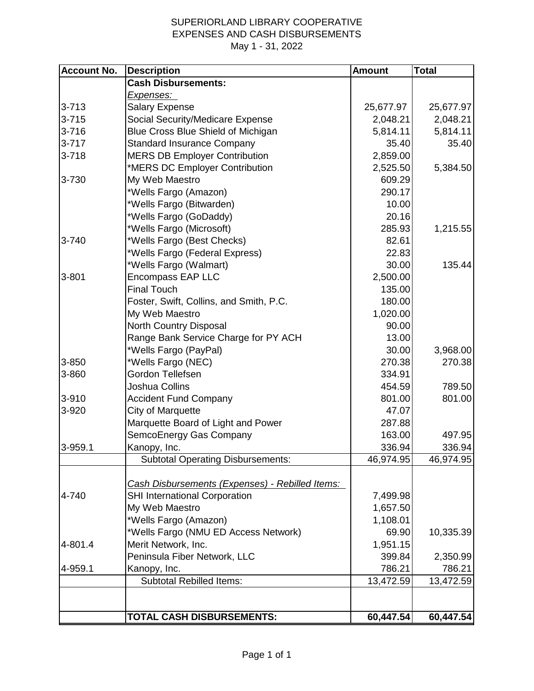## SUPERIORLAND LIBRARY COOPERATIVE EXPENSES AND CASH DISBURSEMENTS May 1 - 31, 2022

| <b>Account No.</b> | <b>Description</b>                                          | <b>Amount</b>     | <b>Total</b> |
|--------------------|-------------------------------------------------------------|-------------------|--------------|
|                    | <b>Cash Disbursements:</b>                                  |                   |              |
|                    | <u>Expenses:</u>                                            |                   |              |
| $3 - 713$          | <b>Salary Expense</b>                                       | 25,677.97         | 25,677.97    |
| $3 - 715$          | Social Security/Medicare Expense                            | 2,048.21          | 2,048.21     |
| $3 - 716$          | Blue Cross Blue Shield of Michigan                          | 5,814.11          | 5,814.11     |
| $3 - 717$          | <b>Standard Insurance Company</b>                           | 35.40             | 35.40        |
| $3 - 718$          | <b>MERS DB Employer Contribution</b>                        | 2,859.00          |              |
|                    | *MERS DC Employer Contribution                              | 2,525.50          | 5,384.50     |
| 3-730              | My Web Maestro                                              | 609.29            |              |
|                    | *Wells Fargo (Amazon)                                       | 290.17            |              |
|                    | *Wells Fargo (Bitwarden)                                    | 10.00             |              |
|                    | *Wells Fargo (GoDaddy)                                      | 20.16             |              |
|                    | *Wells Fargo (Microsoft)                                    | 285.93            | 1,215.55     |
| 3-740              | *Wells Fargo (Best Checks)                                  | 82.61             |              |
|                    | *Wells Fargo (Federal Express)                              | 22.83             |              |
|                    | *Wells Fargo (Walmart)                                      | 30.00             | 135.44       |
| $3 - 801$          | <b>Encompass EAP LLC</b>                                    | 2,500.00          |              |
|                    | <b>Final Touch</b>                                          | 135.00            |              |
|                    | Foster, Swift, Collins, and Smith, P.C.                     | 180.00            |              |
|                    | My Web Maestro                                              | 1,020.00          |              |
|                    | North Country Disposal                                      | 90.00             |              |
|                    | Range Bank Service Charge for PY ACH                        | 13.00             |              |
|                    | *Wells Fargo (PayPal)                                       | 30.00             | 3,968.00     |
| 3-850              | *Wells Fargo (NEC)                                          | 270.38            | 270.38       |
| 3-860              | Gordon Tellefsen                                            | 334.91            |              |
|                    | Joshua Collins                                              | 454.59            | 789.50       |
| 3-910              | <b>Accident Fund Company</b>                                | 801.00            | 801.00       |
| 3-920              | City of Marquette                                           | 47.07             |              |
|                    | Marquette Board of Light and Power                          | 287.88            |              |
|                    | SemcoEnergy Gas Company                                     | 163.00            | 497.95       |
| 3-959.1            | Kanopy, Inc.                                                | 336.94            | 336.94       |
|                    | <b>Subtotal Operating Disbursements:</b>                    | 46,974.95         | 46,974.95    |
|                    |                                                             |                   |              |
| 4-740              | Cash Disbursements (Expenses) - Rebilled Items:             |                   |              |
|                    | <b>SHI International Corporation</b>                        | 7,499.98          |              |
|                    | My Web Maestro                                              | 1,657.50          |              |
|                    | *Wells Fargo (Amazon)                                       | 1,108.01<br>69.90 |              |
|                    | *Wells Fargo (NMU ED Access Network)<br>Merit Network, Inc. | 1,951.15          | 10,335.39    |
| 4-801.4            | Peninsula Fiber Network, LLC                                | 399.84            | 2,350.99     |
| 4-959.1            | Kanopy, Inc.                                                | 786.21            | 786.21       |
|                    | <b>Subtotal Rebilled Items:</b>                             |                   |              |
|                    |                                                             | 13,472.59         | 13,472.59    |
|                    |                                                             |                   |              |
|                    | TOTAL CASH DISBURSEMENTS:                                   | 60,447.54         | 60,447.54    |